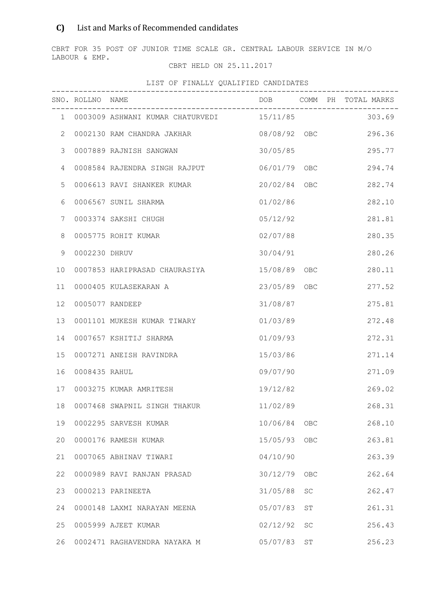## C) List and Marks of Recommended candidates

CBRT FOR 35 POST OF JUNIOR TIME SCALE GR. CENTRAL LABOUR SERVICE IN M/O LABOUR & EMP.

## CBRT HELD ON 25.11.2017

|                   | SNO. ROLLNO NAME |                                                    |               |    | DOB COMM PH TOTAL MARKS |
|-------------------|------------------|----------------------------------------------------|---------------|----|-------------------------|
|                   |                  | 1 0003009 ASHWANI KUMAR CHATURVEDI 15/11/85 303.69 |               |    |                         |
| $\mathbf{2}$      |                  | 0002130 RAM CHANDRA JAKHAR                         | 08/08/92 OBC  |    | 296.36                  |
| 3                 |                  | 0007889 RAJNISH SANGWAN                            | 30/05/85      |    | 295.77                  |
| 4                 |                  | 0008584 RAJENDRA SINGH RAJPUT                      | 06/01/79 OBC  |    | 294.74                  |
| 5                 |                  | 0006613 RAVI SHANKER KUMAR                         | 20/02/84 OBC  |    | 282.74                  |
| 6                 |                  | 0006567 SUNIL SHARMA                               | 01/02/86      |    | 282.10                  |
| 7                 |                  | 0003374 SAKSHI CHUGH                               | 05/12/92      |    | 281.81                  |
| 8                 |                  | 0005775 ROHIT KUMAR                                | 02/07/88      |    | 280.35                  |
| 9                 | 0002230 DHRUV    |                                                    | 30/04/91      |    | 280.26                  |
| 10                |                  | 0007853 HARIPRASAD CHAURASIYA                      | 15/08/89 OBC  |    | 280.11                  |
| 11                |                  | 0000405 KULASEKARAN A                              | 23/05/89 OBC  |    | 277.52                  |
| $12 \overline{ }$ |                  | 0005077 RANDEEP                                    | 31/08/87      |    | 275.81                  |
| 13                |                  | 0001101 MUKESH KUMAR TIWARY                        | 01/03/89      |    | 272.48                  |
| 14                |                  | 0007657 KSHITIJ SHARMA                             | 01/09/93      |    | 272.31                  |
| 15                |                  | 0007271 ANEISH RAVINDRA                            | 15/03/86      |    | 271.14                  |
| 16                | 0008435 RAHUL    |                                                    | 09/07/90      |    | 271.09                  |
| 17                |                  | 0003275 KUMAR AMRITESH                             | 19/12/82      |    | 269.02                  |
| 18                |                  | 0007468 SWAPNIL SINGH THAKUR                       | 11/02/89      |    | 268.31                  |
| 19                |                  | 0002295 SARVESH KUMAR                              | 10/06/84 OBC  |    | 268.10                  |
| 20                |                  | 0000176 RAMESH KUMAR                               | 15/05/93 OBC  |    | 263.81                  |
| 21                |                  | 0007065 ABHINAV TIWARI                             | 04/10/90      |    | 263.39                  |
| 22                |                  | 0000989 RAVI RANJAN PRASAD                         | 30/12/79 OBC  |    | 262.64                  |
| 23                |                  | 0000213 PARINEETA                                  | 31/05/88      | SC | 262.47                  |
| 24                |                  | 0000148 LAXMI NARAYAN MEENA                        | 05/07/83      | ST | 261.31                  |
| 25                |                  | 0005999 AJEET KUMAR                                | $02/12/92$ SC |    | 256.43                  |
| 26                |                  | 0002471 RAGHAVENDRA NAYAKA M                       | 05/07/83 ST   |    | 256.23                  |

## LIST OF FINALLY QUALIFIED CANDIDATES